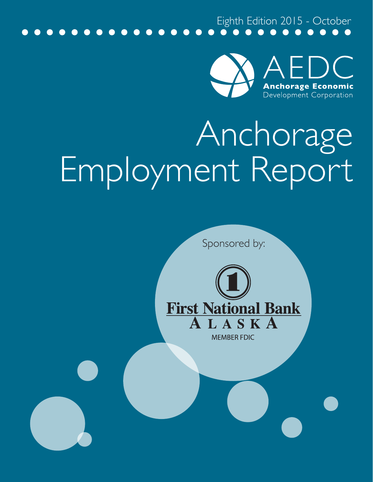Eighth Edition 2015 - October



## Anchorage Employment Report

Sponsored by:



**MEMBER FDIC**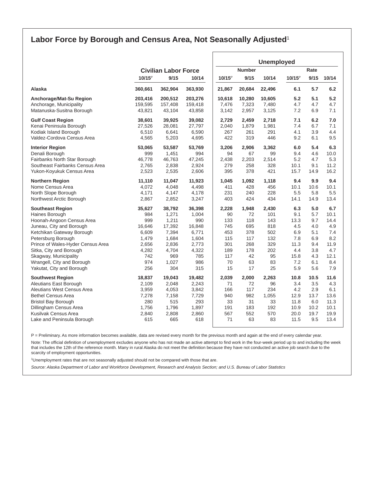## **Labor Force by Borough and Census Area, Not Seasonally Adjusted**<sup>1</sup>

|                                                  |                             |              |                | <b>Unemployed</b> |            |            |                 |            |             |
|--------------------------------------------------|-----------------------------|--------------|----------------|-------------------|------------|------------|-----------------|------------|-------------|
|                                                  | <b>Civilian Labor Force</b> |              |                | <b>Number</b>     |            |            | Rate            |            |             |
|                                                  | $10/15^{\circ}$             | 9/15         | 10/14          | $10/15^p$         | 9/15       | 10/14      | $10/15^{\circ}$ | 9/15       | 10/14       |
| Alaska                                           | 360,661                     | 362,904      | 363,930        | 21,867            | 20,684     | 22,496     | 6.1             | 5.7        | 6.2         |
| Anchorage/Mat-Su Region                          | 203,416                     | 200,512      | 203,276        | 10,618            | 10,280     | 10,605     | 5.2             | 5.1        | 5.2         |
| Anchorage, Municipality                          | 159,595                     | 157,408      | 159,418        | 7,476             | 7,323      | 7,480      | 4.7             | 4.7        | 4.7         |
| Matanuska-Susitna Borough                        | 43,821                      | 43,104       | 43,858         | 3,142             | 2,957      | 3,125      | 7.2             | 6.9        | 7.1         |
| <b>Gulf Coast Region</b>                         | 38,601                      | 39,925       | 39,082         | 2,729             | 2,459      | 2,718      | 7.1             | 6.2        | 7.0         |
| Kenai Peninsula Borough                          | 27,526                      | 28,081       | 27,797         | 2,040             | 1,879      | 1,981      | 7.4             | 6.7        | 7.1         |
| Kodiak Island Borough                            | 6,510                       | 6,641        | 6,590          | 267               | 261        | 291        | 4.1             | 3.9        | 4.4         |
| Valdez-Cordova Census Area                       | 4,565                       | 5,203        | 4,695          | 422               | 319        | 446        | 9.2             | 6.1        | 9.5         |
| <b>Interior Region</b>                           | 53,065                      | 53,587       | 53,769         | 3,206             | 2,906      | 3,362      | 6.0             | 5.4        | 6.3         |
| Denali Borough                                   | 999                         | 1,451        | 994            | 94                | 67         | 99         | 9.4             | 4.6        | 10.0        |
| Fairbanks North Star Borough                     | 46,778                      | 46,763       | 47,245         | 2,438             | 2,203      | 2,514      | 5.2             | 4.7        | 5.3         |
| Southeast Fairbanks Census Area                  | 2,765                       | 2,838        | 2,924          | 279               | 258        | 328        | 10.1            | 9.1        | 11.2        |
| Yukon-Koyukuk Census Area                        | 2,523                       | 2,535        | 2,606          | 395               | 378        | 421        | 15.7            | 14.9       | 16.2        |
| <b>Northern Region</b>                           | 11,110                      | 11,047       | 11,923         | 1,045             | 1,092      | 1,118      | 9.4             | 9.9        | 9.4         |
| Nome Census Area                                 | 4,072                       | 4,048        | 4,498          | 411               | 428        | 456        | 10.1            | 10.6       | 10.1        |
| North Slope Borough                              | 4,171                       | 4,147        | 4,178          | 231               | 240        | 228        | 5.5             | 5.8        | 5.5         |
| Northwest Arctic Borough                         | 2,867                       | 2,852        | 3,247          | 403               | 424        | 434        | 14.1            | 14.9       | 13.4        |
| <b>Southeast Region</b>                          | 35,627                      | 38,792       | 36,398         | 2,228             | 1,948      | 2,430      | 6.3             | 5.0        | 6.7         |
| Haines Borough                                   | 984                         | 1,271        | 1,004          | 90                | 72         | 101        | 9.1             | 5.7        | 10.1        |
| Hoonah-Angoon Census Area                        | 999                         | 1,211        | 990            | 133               | 118        | 143        | 13.3            | 9.7        | 14.4        |
| Juneau, City and Borough                         | 16,646                      | 17,392       | 16,848         | 745               | 695        | 818        | 4.5             | 4.0        | 4.9         |
| Ketchikan Gateway Borough                        | 6,609                       | 7,394        | 6,771          | 453               | 378        | 502        | 6.9             | 5.1        | 7.4         |
| Petersburg Borough                               | 1,479                       | 1,684        | 1,604          | 115               | 117        | 132        | 7.8             | 6.9        | 8.2         |
| Prince of Wales-Hyder Census Area                | 2,656<br>4,282              | 2,836        | 2,773<br>4,322 | 301<br>189        | 268<br>178 | 329<br>202 | 11.3<br>4.4     | 9.4<br>3.8 | 11.9<br>4.7 |
| Sitka, City and Borough<br>Skagway, Municipality | 742                         | 4,704<br>969 | 785            | 117               | 42         | 95         | 15.8            | 4.3        | 12.1        |
| Wrangell, City and Borough                       | 974                         | 1,027        | 986            | 70                | 63         | 83         | 7.2             | 6.1        | 8.4         |
| Yakutat, City and Borough                        | 256                         | 304          | 315            | 15                | 17         | 25         | 5.9             | 5.6        | 7.9         |
| <b>Southwest Region</b>                          | 18,837                      | 19.043       | 19,482         | 2,039             | 2,000      | 2,263      | 10.8            | 10.5       | 11.6        |
| Aleutians East Borough                           | 2,109                       | 2,048        | 2,243          | 71                | 72         | 96         | 3.4             | 3.5        | 4.3         |
| Aleutians West Census Area                       | 3,959                       | 4,053        | 3,842          | 166               | 117        | 234        | 4.2             | 2.9        | 6.1         |
| <b>Bethel Census Area</b>                        | 7,278                       | 7,158        | 7,729          | 940               | 982        | 1,055      | 12.9            | 13.7       | 13.6        |
| <b>Bristol Bay Borough</b>                       | 280                         | 515          | 293            | 33                | 31         | 33         | 11.8            | 6.0        | 11.3        |
| Dillingham Census Area                           | 1,756                       | 1,796        | 1,897          | 191               | 183        | 192        | 10.9            | 10.2       | 10.1        |
| Kusilvak Census Area                             | 2,840                       | 2,808        | 2,860          | 567               | 552        | 570        | 20.0            | 19.7       | 19.9        |
| Lake and Peninsula Borough                       | 615                         | 665          | 618            | 71                | 63         | 83         | 11.5            | 9.5        | 13.4        |
|                                                  |                             |              |                |                   |            |            |                 |            |             |

P = Preliminary. As more information becomes available, data are revised every month for the previous month and again at the end of every calendar year.

Note: The official definition of unemployment excludes anyone who has not made an active attempt to find work in the four-week period up to and including the week that includes the 12th of the reference month. Many in rural Alaska do not meet the definition because they have not conducted an active job search due to the scarcity of employment opportunities.

1 Unemployment rates that are not seasonally adjusted should not be compared with those that are.

*Source: Alaska Department of Labor and Workforce Development, Research and Analysis Section; and U.S. Bureau of Labor Statistics*